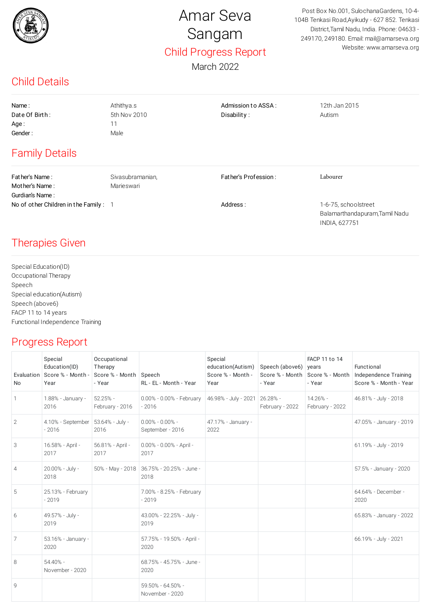

## Amar Seva Sangam Child Progress Report

March 2022

Post Box No.001, SulochanaGardens, 10-4- 104B Tenkasi Road,Ayikudy - 627 852. Tenkasi District,Tamil Nadu, India. Phone: 04633 - 249170, 249180. Email: mail@amarseva.org Website: www.amarseva.org

INDIA, 627751

## Child Details

| Name:                                 | Athithya.s       | Admission to ASSA:   | 12th Jan 2015                                          |  |  |
|---------------------------------------|------------------|----------------------|--------------------------------------------------------|--|--|
| Date Of Birth:                        | 5th Nov 2010     | Disability:          | Autism                                                 |  |  |
| Age:                                  | 11               |                      |                                                        |  |  |
| Gender:                               | Male             |                      |                                                        |  |  |
| <b>Family Details</b>                 |                  |                      |                                                        |  |  |
| Father's Name:                        | Sivasubramanian, | Father's Profession: | Labourer                                               |  |  |
| Mother's Name:                        | Marieswari       |                      |                                                        |  |  |
| Gurdian's Name:                       |                  |                      |                                                        |  |  |
| No of other Children in the Family: 1 |                  | Address:             | 1-6-75, schoolstreet<br>Balamarthandapuram, Tamil Nadu |  |  |

## Therapies Given

Special Education(ID) Occupational Therapy Speech Special education(Autism) Speech (above6) FACP 11 to 14 years Functional Independence Training

## Progress Report

| <b>No</b>      | Special<br>Education(ID)<br>Evaluation Score % - Month -<br>Year | Occupational<br>Therapy<br>Score % - Month Speech<br>- Year | RL - EL - Month - Year                  | Special<br>education(Autism)<br>Score % - Month -<br>Year | Speech (above6) years<br>- Year | FACP 11 to 14<br>Score % - Month   Score % - Month<br>- Year | Functional<br>Independence Training<br>Score % - Month - Year |
|----------------|------------------------------------------------------------------|-------------------------------------------------------------|-----------------------------------------|-----------------------------------------------------------|---------------------------------|--------------------------------------------------------------|---------------------------------------------------------------|
| 1              | 1.88% - January -<br>2016                                        | $52.25% -$<br>February - 2016                               | 0.00% - 0.00% - February<br>$-2016$     | 46.98% - July - 2021                                      | 26.28% -<br>February - 2022     | 14.26% -<br>February - 2022                                  | 46.81% - July - 2018                                          |
| $\mathbf{2}$   | 4.10% - September   53.64% - July -<br>$-2016$                   | 2016                                                        | $0.00\% - 0.00\% -$<br>September - 2016 | 47.17% - January -<br>2022                                |                                 |                                                              | 47.05% - January - 2019                                       |
| 3              | 16.58% - April -<br>2017                                         | 56.81% - April -<br>2017                                    | 0.00% - 0.00% - April -<br>2017         |                                                           |                                 |                                                              | 61.19% - July - 2019                                          |
| $\overline{4}$ | 20.00% - July -<br>2018                                          | 50% - May - 2018                                            | 36.75% - 20.25% - June -<br>2018        |                                                           |                                 |                                                              | 57.5% - January - 2020                                        |
| 5              | 25.13% - February<br>$-2019$                                     |                                                             | 7.00% - 8.25% - February<br>$-2019$     |                                                           |                                 |                                                              | 64.64% - December -<br>2020                                   |
| 6              | 49.57% - July -<br>2019                                          |                                                             | 43.00% - 22.25% - July -<br>2019        |                                                           |                                 |                                                              | 65.83% - January - 2022                                       |
| 7              | 53.16% - January -<br>2020                                       |                                                             | 57.75% - 19.50% - April -<br>2020       |                                                           |                                 |                                                              | 66.19% - July - 2021                                          |
| 8              | 54.40% -<br>November - 2020                                      |                                                             | 68.75% - 45.75% - June -<br>2020        |                                                           |                                 |                                                              |                                                               |
| 9              |                                                                  |                                                             | 59.50% - 64.50% -<br>November - 2020    |                                                           |                                 |                                                              |                                                               |